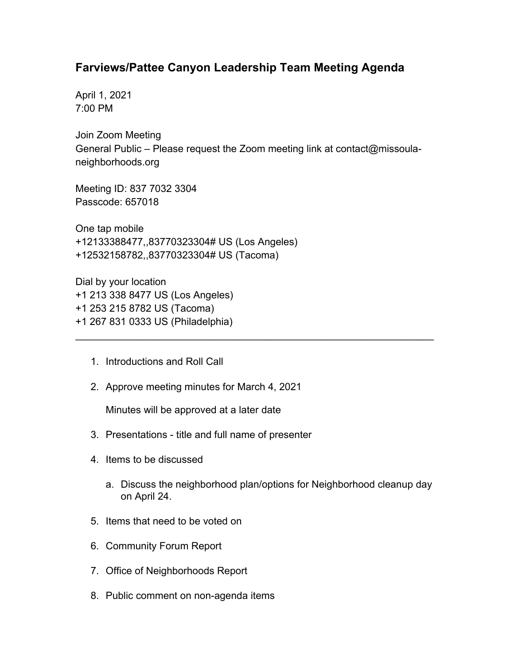## **Farviews/Pattee Canyon Leadership Team Meeting Agenda**

April 1, 2021 7:00 PM

Join Zoom Meeting General Public – Please request the Zoom meeting link at contact@missoulaneighborhoods.org

\_\_\_\_\_\_\_\_\_\_\_\_\_\_\_\_\_\_\_\_\_\_\_\_\_\_\_\_\_\_\_\_\_\_\_\_\_\_\_\_\_\_\_\_\_\_\_\_\_\_\_\_\_\_\_\_\_\_\_\_\_\_\_\_

Meeting ID: 837 7032 3304 Passcode: 657018

One tap mobile +12133388477,,83770323304# US (Los Angeles) +12532158782,,83770323304# US (Tacoma)

Dial by your location +1 213 338 8477 US (Los Angeles) +1 253 215 8782 US (Tacoma) +1 267 831 0333 US (Philadelphia)

- 1. Introductions and Roll Call
- 2. Approve meeting minutes for March 4, 2021

Minutes will be approved at a later date

- 3. Presentations title and full name of presenter
- 4. Items to be discussed
	- a. Discuss the neighborhood plan/options for Neighborhood cleanup day on April 24.
- 5. Items that need to be voted on
- 6. Community Forum Report
- 7. Office of Neighborhoods Report
- 8. Public comment on non-agenda items